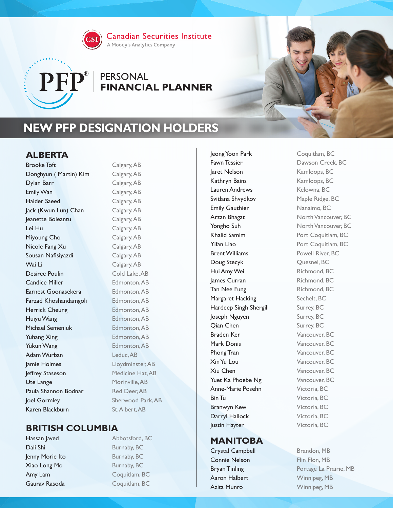

**Canadian Securities Institute** 

#### A Moody's Analytics Company

# $\mathbf{PFP}^{\circ}$  PERSONAL<br>FINANCIAL PLANNER

# **NEW PFP DESIGNATION HOLDERS**

# **ALBERTA**

Brooke Toft Calgary, AB Donghyun (Martin) Kim Calgary, AB Dylan Barr Calgary, AB Emily Wan Calgary, AB Haider Saeed Calgary, AB Jack (Kwun Lun) Chan Calgary, AB Jeanette Boleantu Calgary, AB Lei Hu Calgary, AB Miyoung Cho Calgary, AB Nicole Fang Xu Calgary, AB Sousan Nafisiyazdi Calgary, AB Wai Li Calgary, AB Desiree Poulin Cold Lake, AB Candice Miller Edmonton, AB Earnest Goonasekera **Edmonton, AB** Farzad Khoshandamgoli<br>
Edmonton, AB Herrick Cheung Edmonton, AB Huiyu Wang **Edmonton, AB** Michael Semeniuk Edmonton, AB Yuhang Xing **Edmonton**, AB Yukun Wang Edmonton, AB Adam Wurban Leduc, AB Jamie Holmes Lloydminster, AB Jeffrey Staseson Medicine Hat, AB Ute Lange Morinville, AB Paula Shannon Bodnar Red Deer, AB **Joel Gormley** Sherwood Park, AB Karen Blackburn St. Albert, AB

# **BRITISH COLUMBIA**

Dali Shi Burnaby, BC **Jenny Morie Ito** Burnaby, BC Xiao Long Mo Burnaby, BC Amy Lam Coquitlam, BC Gaurav Rasoda<br>
Coquitlam, BC

Hassan laved Abbotsford, BC

Jeong Yoon Park Coquitlam, BC Fawn Tessier **Dawson Creek, BC** Jaret Nelson Kamloops, BC Kathryn Bains Kamloops, BC Lauren Andrews Kelowna, BC Svitlana Shvydkov Maple Ridge, BC Emily Gauthier Nanaimo, BC Arzan Bhagat North Vancouver, BC Yongho Suh North Vancouver, BC Khalid Samim **Port Coquitlam, BC Yifan Liao** Port Coquitlam, BC Brent Williams Powell River, BC Doug Stecyk Quesnel, BC Hui Amy Wei Richmond, BC lames Curran Richmond, BC Tan Nee Fung Richmond, BC Margaret Hacking Sechelt, BC Hardeep Singh Shergill Surrey, BC Joseph Nguyen Surrey, BC **Qian Chen** Surrey, BC Braden Ker Vancouver, BC Mark Donis Vancouver, BC Phong Tran Vancouver, BC **Xin Yu Lou** Vancouver, BC Xiu Chen Vancouver, BC Yuet Ka Phoebe Ng Vancouver, BC Anne-Marie Posehn Victoria, BC **Bin Tu** Victoria, BC Branwyn Kew **Victoria**, BC Darryl Hallock Victoria, BC **Justin Hayter** Victoria, BC

#### **MANITOBA**

Crystal Campbell Brandon, MB Connie Nelson Flin Flon, MB Aaron Halbert Winnipeg, MB Azita Munro Winnipeg, MB

Bryan Tinling **Portage La Prairie, MB**